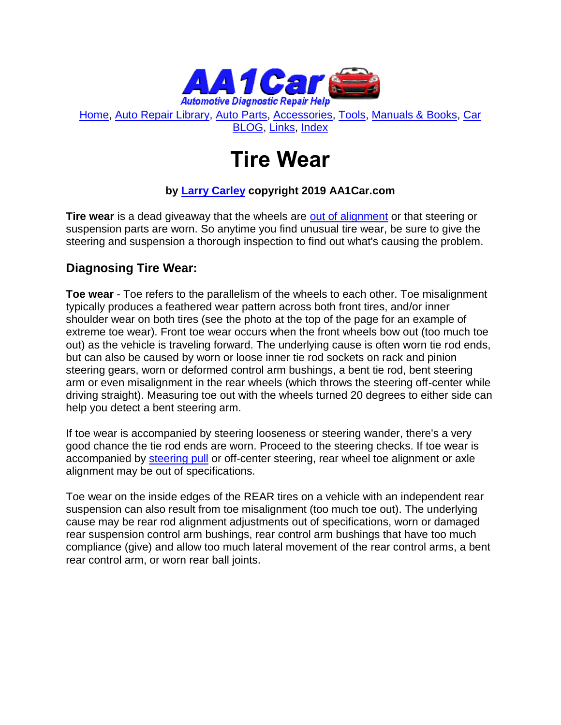

[Home,](http://www.aa1car.com/) [Auto Repair Library,](http://www.aa1car.com/library.htm) [Auto Parts,](http://www.aa1car.com/links_parts.htm) [Accessories,](http://www.aa1car.com/links_accessories.htm) [Tools,](http://www.aa1car.com/links_tools.htm) [Manuals & Books,](http://www.aa1car.com/links_books.htm) [Car](http://www.aa1car.com/blog/blog.htm)  [BLOG,](http://www.aa1car.com/blog/blog.htm) [Links,](http://www.aa1car.com/links.htm) [Index](http://www.aa1car.com/index_alphabetical.htm)

# **Tire Wear**

#### **by [Larry Carley](https://www.aa1car.com/larrypage/larrycarley_photos.htm) copyright 2019 AA1Car.com**

**Tire wear** is a dead giveaway that the wheels are [out of alignment](http://www.aa1car.com/library/wheel_alignment.htm) or that steering or suspension parts are worn. So anytime you find unusual tire wear, be sure to give the steering and suspension a thorough inspection to find out what's causing the problem.

#### **Diagnosing Tire Wear:**

**Toe wear** - Toe refers to the parallelism of the wheels to each other. Toe misalignment typically produces a feathered wear pattern across both front tires, and/or inner shoulder wear on both tires (see the photo at the top of the page for an example of extreme toe wear). Front toe wear occurs when the front wheels bow out (too much toe out) as the vehicle is traveling forward. The underlying cause is often worn tie rod ends, but can also be caused by worn or loose inner tie rod sockets on rack and pinion steering gears, worn or deformed control arm bushings, a bent tie rod, bent steering arm or even misalignment in the rear wheels (which throws the steering off-center while driving straight). Measuring toe out with the wheels turned 20 degrees to either side can help you detect a bent steering arm.

If toe wear is accompanied by steering looseness or steering wander, there's a very good chance the tie rod ends are worn. Proceed to the steering checks. If toe wear is accompanied by [steering pull](http://www.aa1car.com/library/steerpul.htm) or off-center steering, rear wheel toe alignment or axle alignment may be out of specifications.

Toe wear on the inside edges of the REAR tires on a vehicle with an independent rear suspension can also result from toe misalignment (too much toe out). The underlying cause may be rear rod alignment adjustments out of specifications, worn or damaged rear suspension control arm bushings, rear control arm bushings that have too much compliance (give) and allow too much lateral movement of the rear control arms, a bent rear control arm, or worn rear ball joints.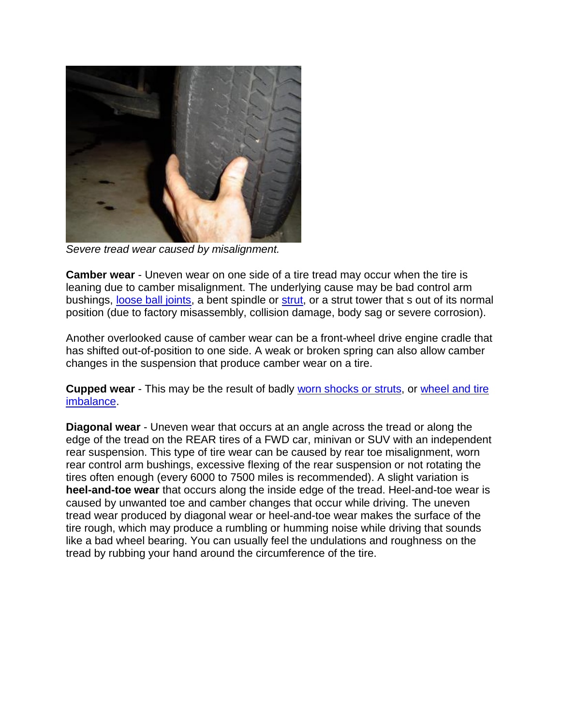

*Severe tread wear caused by misalignment.*

**Camber wear** - Uneven wear on one side of a tire tread may occur when the tire is leaning due to camber misalignment. The underlying cause may be bad control arm bushings, [loose ball joints,](http://www.aa1car.com/library/ball_joints.htm) a bent spindle or [strut,](http://www.aa1car.com/library/strut_suspensions.htm) or a strut tower that s out of its normal position (due to factory misassembly, collision damage, body sag or severe corrosion).

Another overlooked cause of camber wear can be a front-wheel drive engine cradle that has shifted out-of-position to one side. A weak or broken spring can also allow camber changes in the suspension that produce camber wear on a tire.

**Cupped wear** - This may be the result of badly [worn shocks or struts,](http://www.aa1car.com/library/ride1.htm) or [wheel and tire](http://www.aa1car.com/library/tvibes.htm)  [imbalance.](http://www.aa1car.com/library/tvibes.htm)

**Diagonal wear** - Uneven wear that occurs at an angle across the tread or along the edge of the tread on the REAR tires of a FWD car, minivan or SUV with an independent rear suspension. This type of tire wear can be caused by rear toe misalignment, worn rear control arm bushings, excessive flexing of the rear suspension or not rotating the tires often enough (every 6000 to 7500 miles is recommended). A slight variation is **heel-and-toe wear** that occurs along the inside edge of the tread. Heel-and-toe wear is caused by unwanted toe and camber changes that occur while driving. The uneven tread wear produced by diagonal wear or heel-and-toe wear makes the surface of the tire rough, which may produce a rumbling or humming noise while driving that sounds like a bad wheel bearing. You can usually feel the undulations and roughness on the tread by rubbing your hand around the circumference of the tire.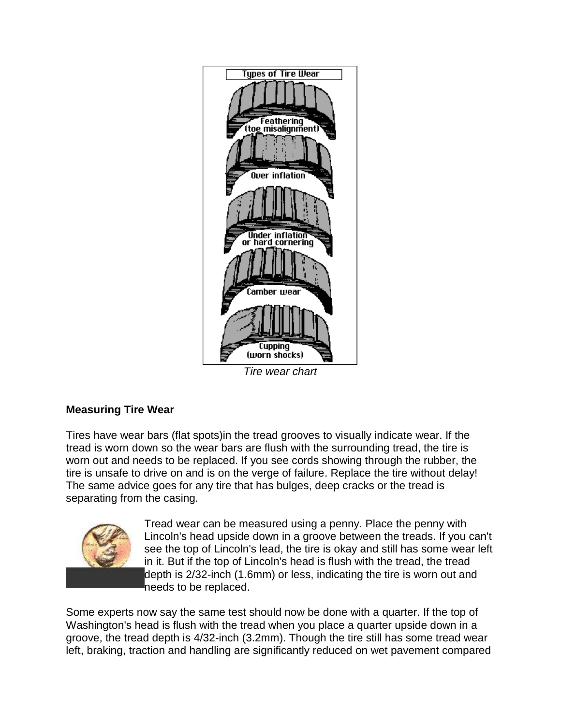

*Tire wear chart*

#### **Measuring Tire Wear**

Tires have wear bars (flat spots)in the tread grooves to visually indicate wear. If the tread is worn down so the wear bars are flush with the surrounding tread, the tire is worn out and needs to be replaced. If you see cords showing through the rubber, the tire is unsafe to drive on and is on the verge of failure. Replace the tire without delay! The same advice goes for any tire that has bulges, deep cracks or the tread is separating from the casing.



Tread wear can be measured using a penny. Place the penny with Lincoln's head upside down in a groove between the treads. If you can't see the top of Lincoln's lead, the tire is okay and still has some wear left in it. But if the top of Lincoln's head is flush with the tread, the tread depth is 2/32-inch (1.6mm) or less, indicating the tire is worn out and needs to be replaced.

Some experts now say the same test should now be done with a quarter. If the top of Washington's head is flush with the tread when you place a quarter upside down in a groove, the tread depth is 4/32-inch (3.2mm). Though the tire still has some tread wear left, braking, traction and handling are significantly reduced on wet pavement compared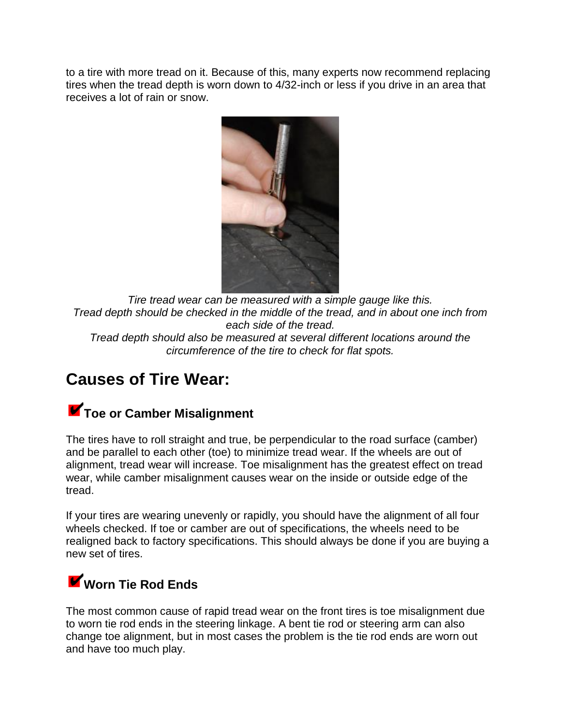to a tire with more tread on it. Because of this, many experts now recommend replacing tires when the tread depth is worn down to 4/32-inch or less if you drive in an area that receives a lot of rain or snow.



*Tire tread wear can be measured with a simple gauge like this. Tread depth should be checked in the middle of the tread, and in about one inch from each side of the tread.* 

*Tread depth should also be measured at several different locations around the circumference of the tire to check for flat spots.* 

### **Causes of Tire Wear:**

### **K** Toe or Camber Misalignment

The tires have to roll straight and true, be perpendicular to the road surface (camber) and be parallel to each other (toe) to minimize tread wear. If the wheels are out of alignment, tread wear will increase. Toe misalignment has the greatest effect on tread wear, while camber misalignment causes wear on the inside or outside edge of the tread.

If your tires are wearing unevenly or rapidly, you should have the alignment of all four wheels checked. If toe or camber are out of specifications, the wheels need to be realigned back to factory specifications. This should always be done if you are buying a new set of tires.

### **Worn Tie Rod Ends**

The most common cause of rapid tread wear on the front tires is toe misalignment due to worn tie rod ends in the steering linkage. A bent tie rod or steering arm can also change toe alignment, but in most cases the problem is the tie rod ends are worn out and have too much play.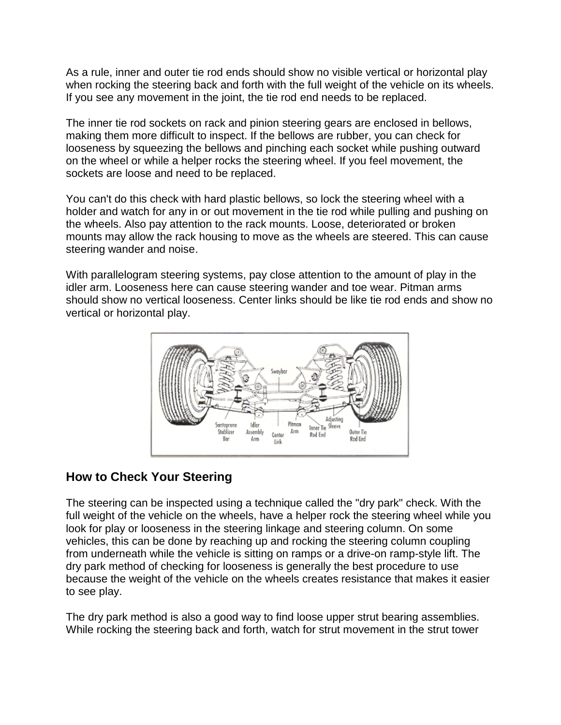As a rule, inner and outer tie rod ends should show no visible vertical or horizontal play when rocking the steering back and forth with the full weight of the vehicle on its wheels. If you see any movement in the joint, the tie rod end needs to be replaced.

The inner tie rod sockets on rack and pinion steering gears are enclosed in bellows, making them more difficult to inspect. If the bellows are rubber, you can check for looseness by squeezing the bellows and pinching each socket while pushing outward on the wheel or while a helper rocks the steering wheel. If you feel movement, the sockets are loose and need to be replaced.

You can't do this check with hard plastic bellows, so lock the steering wheel with a holder and watch for any in or out movement in the tie rod while pulling and pushing on the wheels. Also pay attention to the rack mounts. Loose, deteriorated or broken mounts may allow the rack housing to move as the wheels are steered. This can cause steering wander and noise.

With parallelogram steering systems, pay close attention to the amount of play in the idler arm. Looseness here can cause steering wander and toe wear. Pitman arms should show no vertical looseness. Center links should be like tie rod ends and show no vertical or horizontal play.



#### **How to Check Your Steering**

The steering can be inspected using a technique called the "dry park" check. With the full weight of the vehicle on the wheels, have a helper rock the steering wheel while you look for play or looseness in the steering linkage and steering column. On some vehicles, this can be done by reaching up and rocking the steering column coupling from underneath while the vehicle is sitting on ramps or a drive-on ramp-style lift. The dry park method of checking for looseness is generally the best procedure to use because the weight of the vehicle on the wheels creates resistance that makes it easier to see play.

The dry park method is also a good way to find loose upper strut bearing assemblies. While rocking the steering back and forth, watch for strut movement in the strut tower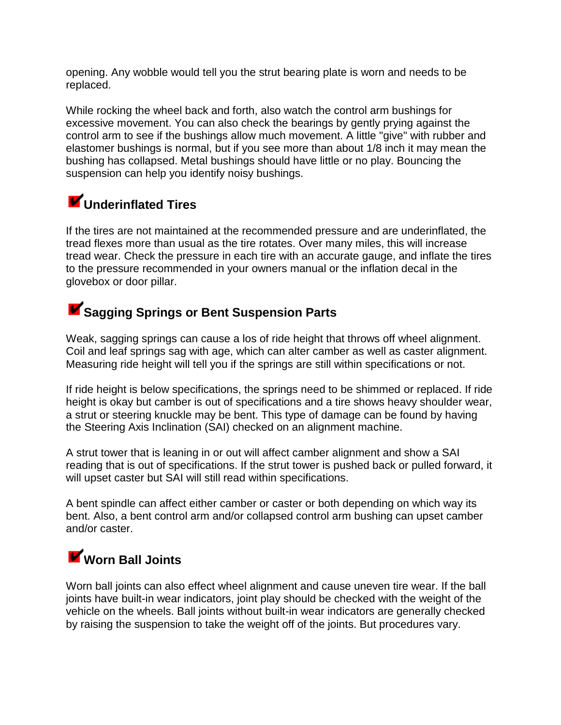opening. Any wobble would tell you the strut bearing plate is worn and needs to be replaced.

While rocking the wheel back and forth, also watch the control arm bushings for excessive movement. You can also check the bearings by gently prying against the control arm to see if the bushings allow much movement. A little "give" with rubber and elastomer bushings is normal, but if you see more than about 1/8 inch it may mean the bushing has collapsed. Metal bushings should have little or no play. Bouncing the suspension can help you identify noisy bushings.

### **Underinflated Tires**

If the tires are not maintained at the recommended pressure and are underinflated, the tread flexes more than usual as the tire rotates. Over many miles, this will increase tread wear. Check the pressure in each tire with an accurate gauge, and inflate the tires to the pressure recommended in your owners manual or the inflation decal in the glovebox or door pillar.

### **K** Sagging Springs or Bent Suspension Parts

Weak, sagging springs can cause a los of ride height that throws off wheel alignment. Coil and leaf springs sag with age, which can alter camber as well as caster alignment. Measuring ride height will tell you if the springs are still within specifications or not.

If ride height is below specifications, the springs need to be shimmed or replaced. If ride height is okay but camber is out of specifications and a tire shows heavy shoulder wear, a strut or steering knuckle may be bent. This type of damage can be found by having the Steering Axis Inclination (SAI) checked on an alignment machine.

A strut tower that is leaning in or out will affect camber alignment and show a SAI reading that is out of specifications. If the strut tower is pushed back or pulled forward, it will upset caster but SAI will still read within specifications.

A bent spindle can affect either camber or caster or both depending on which way its bent. Also, a bent control arm and/or collapsed control arm bushing can upset camber and/or caster.

# **Worn Ball Joints**

Worn ball joints can also effect wheel alignment and cause uneven tire wear. If the ball joints have built-in wear indicators, joint play should be checked with the weight of the vehicle on the wheels. Ball joints without built-in wear indicators are generally checked by raising the suspension to take the weight off of the joints. But procedures vary.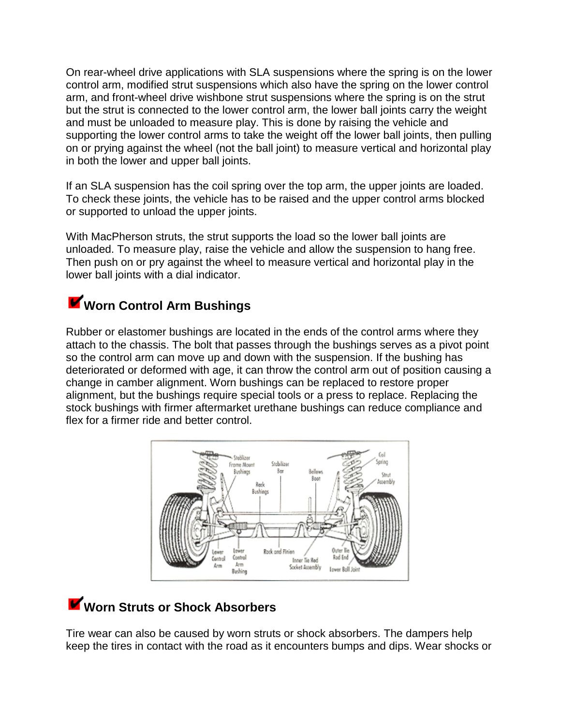On rear-wheel drive applications with SLA suspensions where the spring is on the lower control arm, modified strut suspensions which also have the spring on the lower control arm, and front-wheel drive wishbone strut suspensions where the spring is on the strut but the strut is connected to the lower control arm, the lower ball joints carry the weight and must be unloaded to measure play. This is done by raising the vehicle and supporting the lower control arms to take the weight off the lower ball joints, then pulling on or prying against the wheel (not the ball joint) to measure vertical and horizontal play in both the lower and upper ball joints.

If an SLA suspension has the coil spring over the top arm, the upper joints are loaded. To check these joints, the vehicle has to be raised and the upper control arms blocked or supported to unload the upper joints.

With MacPherson struts, the strut supports the load so the lower ball joints are unloaded. To measure play, raise the vehicle and allow the suspension to hang free. Then push on or pry against the wheel to measure vertical and horizontal play in the lower ball joints with a dial indicator.

### **Worn Control Arm Bushings**

Rubber or elastomer bushings are located in the ends of the control arms where they attach to the chassis. The bolt that passes through the bushings serves as a pivot point so the control arm can move up and down with the suspension. If the bushing has deteriorated or deformed with age, it can throw the control arm out of position causing a change in camber alignment. Worn bushings can be replaced to restore proper alignment, but the bushings require special tools or a press to replace. Replacing the stock bushings with firmer aftermarket urethane bushings can reduce compliance and flex for a firmer ride and better control.



# **Worn Struts or Shock Absorbers**

Tire wear can also be caused by worn struts or shock absorbers. The dampers help keep the tires in contact with the road as it encounters bumps and dips. Wear shocks or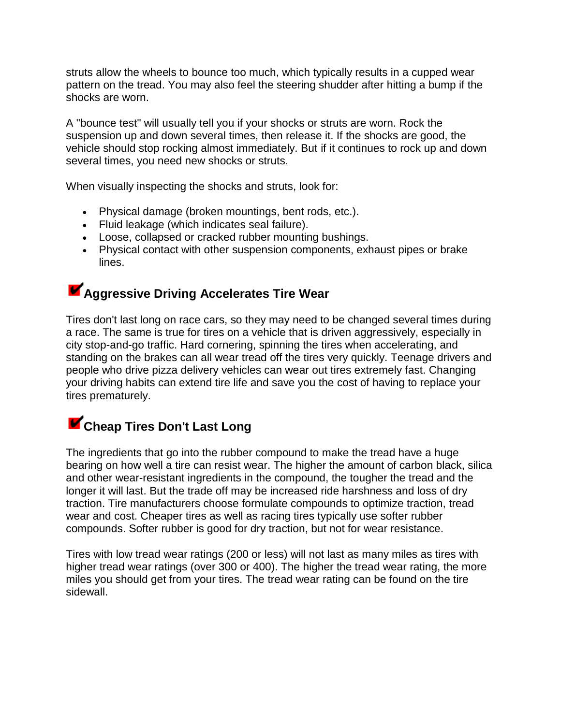struts allow the wheels to bounce too much, which typically results in a cupped wear pattern on the tread. You may also feel the steering shudder after hitting a bump if the shocks are worn.

A "bounce test" will usually tell you if your shocks or struts are worn. Rock the suspension up and down several times, then release it. If the shocks are good, the vehicle should stop rocking almost immediately. But if it continues to rock up and down several times, you need new shocks or struts.

When visually inspecting the shocks and struts, look for:

- Physical damage (broken mountings, bent rods, etc.).
- Fluid leakage (which indicates seal failure).
- Loose, collapsed or cracked rubber mounting bushings.
- Physical contact with other suspension components, exhaust pipes or brake lines.

### **Aggressive Driving Accelerates Tire Wear**

Tires don't last long on race cars, so they may need to be changed several times during a race. The same is true for tires on a vehicle that is driven aggressively, especially in city stop-and-go traffic. Hard cornering, spinning the tires when accelerating, and standing on the brakes can all wear tread off the tires very quickly. Teenage drivers and people who drive pizza delivery vehicles can wear out tires extremely fast. Changing your driving habits can extend tire life and save you the cost of having to replace your tires prematurely.

### **Cheap Tires Don't Last Long**

The ingredients that go into the rubber compound to make the tread have a huge bearing on how well a tire can resist wear. The higher the amount of carbon black, silica and other wear-resistant ingredients in the compound, the tougher the tread and the longer it will last. But the trade off may be increased ride harshness and loss of dry traction. Tire manufacturers choose formulate compounds to optimize traction, tread wear and cost. Cheaper tires as well as racing tires typically use softer rubber compounds. Softer rubber is good for dry traction, but not for wear resistance.

Tires with low tread wear ratings (200 or less) will not last as many miles as tires with higher tread wear ratings (over 300 or 400). The higher the tread wear rating, the more miles you should get from your tires. The tread wear rating can be found on the tire sidewall.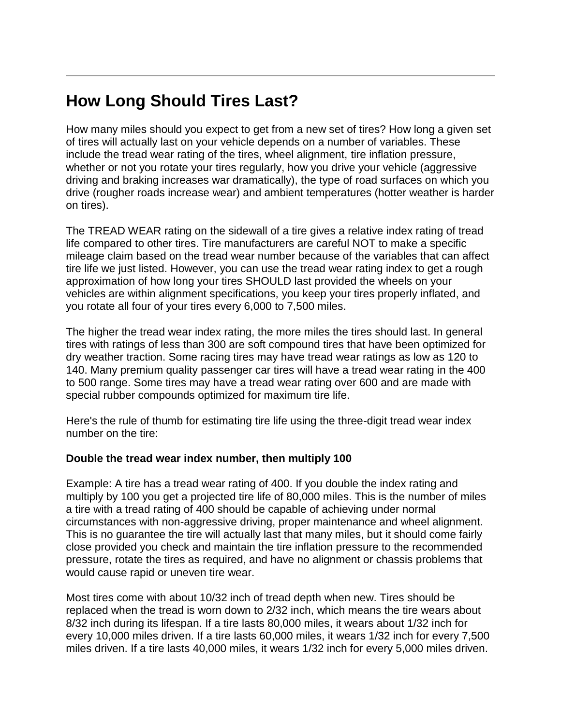## **How Long Should Tires Last?**

How many miles should you expect to get from a new set of tires? How long a given set of tires will actually last on your vehicle depends on a number of variables. These include the tread wear rating of the tires, wheel alignment, tire inflation pressure, whether or not you rotate your tires regularly, how you drive your vehicle (aggressive driving and braking increases war dramatically), the type of road surfaces on which you drive (rougher roads increase wear) and ambient temperatures (hotter weather is harder on tires).

The TREAD WEAR rating on the sidewall of a tire gives a relative index rating of tread life compared to other tires. Tire manufacturers are careful NOT to make a specific mileage claim based on the tread wear number because of the variables that can affect tire life we just listed. However, you can use the tread wear rating index to get a rough approximation of how long your tires SHOULD last provided the wheels on your vehicles are within alignment specifications, you keep your tires properly inflated, and you rotate all four of your tires every 6,000 to 7,500 miles.

The higher the tread wear index rating, the more miles the tires should last. In general tires with ratings of less than 300 are soft compound tires that have been optimized for dry weather traction. Some racing tires may have tread wear ratings as low as 120 to 140. Many premium quality passenger car tires will have a tread wear rating in the 400 to 500 range. Some tires may have a tread wear rating over 600 and are made with special rubber compounds optimized for maximum tire life.

Here's the rule of thumb for estimating tire life using the three-digit tread wear index number on the tire:

#### **Double the tread wear index number, then multiply 100**

Example: A tire has a tread wear rating of 400. If you double the index rating and multiply by 100 you get a projected tire life of 80,000 miles. This is the number of miles a tire with a tread rating of 400 should be capable of achieving under normal circumstances with non-aggressive driving, proper maintenance and wheel alignment. This is no guarantee the tire will actually last that many miles, but it should come fairly close provided you check and maintain the tire inflation pressure to the recommended pressure, rotate the tires as required, and have no alignment or chassis problems that would cause rapid or uneven tire wear.

Most tires come with about 10/32 inch of tread depth when new. Tires should be replaced when the tread is worn down to 2/32 inch, which means the tire wears about 8/32 inch during its lifespan. If a tire lasts 80,000 miles, it wears about 1/32 inch for every 10,000 miles driven. If a tire lasts 60,000 miles, it wears 1/32 inch for every 7,500 miles driven. If a tire lasts 40,000 miles, it wears 1/32 inch for every 5,000 miles driven.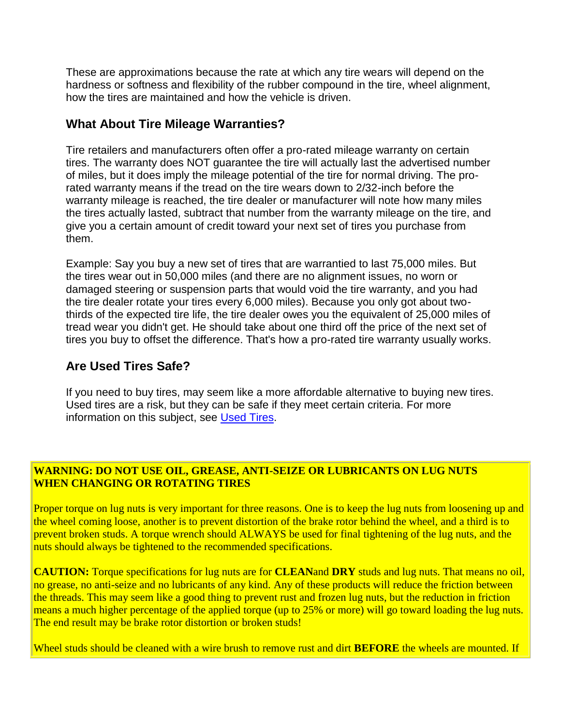These are approximations because the rate at which any tire wears will depend on the hardness or softness and flexibility of the rubber compound in the tire, wheel alignment, how the tires are maintained and how the vehicle is driven.

#### **What About Tire Mileage Warranties?**

Tire retailers and manufacturers often offer a pro-rated mileage warranty on certain tires. The warranty does NOT guarantee the tire will actually last the advertised number of miles, but it does imply the mileage potential of the tire for normal driving. The prorated warranty means if the tread on the tire wears down to 2/32-inch before the warranty mileage is reached, the tire dealer or manufacturer will note how many miles the tires actually lasted, subtract that number from the warranty mileage on the tire, and give you a certain amount of credit toward your next set of tires you purchase from them.

Example: Say you buy a new set of tires that are warrantied to last 75,000 miles. But the tires wear out in 50,000 miles (and there are no alignment issues, no worn or damaged steering or suspension parts that would void the tire warranty, and you had the tire dealer rotate your tires every 6,000 miles). Because you only got about twothirds of the expected tire life, the tire dealer owes you the equivalent of 25,000 miles of tread wear you didn't get. He should take about one third off the price of the next set of tires you buy to offset the difference. That's how a pro-rated tire warranty usually works.

#### **Are Used Tires Safe?**

If you need to buy tires, may seem like a more affordable alternative to buying new tires. Used tires are a risk, but they can be safe if they meet certain criteria. For more information on this subject, see [Used Tires.](http://www.aa1car.com/library/used_tires.htm)

#### **WARNING: DO NOT USE OIL, GREASE, ANTI-SEIZE OR LUBRICANTS ON LUG NUTS WHEN CHANGING OR ROTATING TIRES**

Proper torque on lug nuts is very important for three reasons. One is to keep the lug nuts from loosening up and the wheel coming loose, another is to prevent distortion of the brake rotor behind the wheel, and a third is to prevent broken studs. A torque wrench should ALWAYS be used for final tightening of the lug nuts, and the nuts should always be tightened to the recommended specifications.

**CAUTION:** Torque specifications for lug nuts are for **CLEAN**and **DRY** studs and lug nuts. That means no oil, no grease, no anti-seize and no lubricants of any kind. Any of these products will reduce the friction between the threads. This may seem like a good thing to prevent rust and frozen lug nuts, but the reduction in friction means a much higher percentage of the applied torque (up to 25% or more) will go toward loading the lug nuts. The end result may be brake rotor distortion or broken studs!

Wheel studs should be cleaned with a wire brush to remove rust and dirt **BEFORE** the wheels are mounted. If